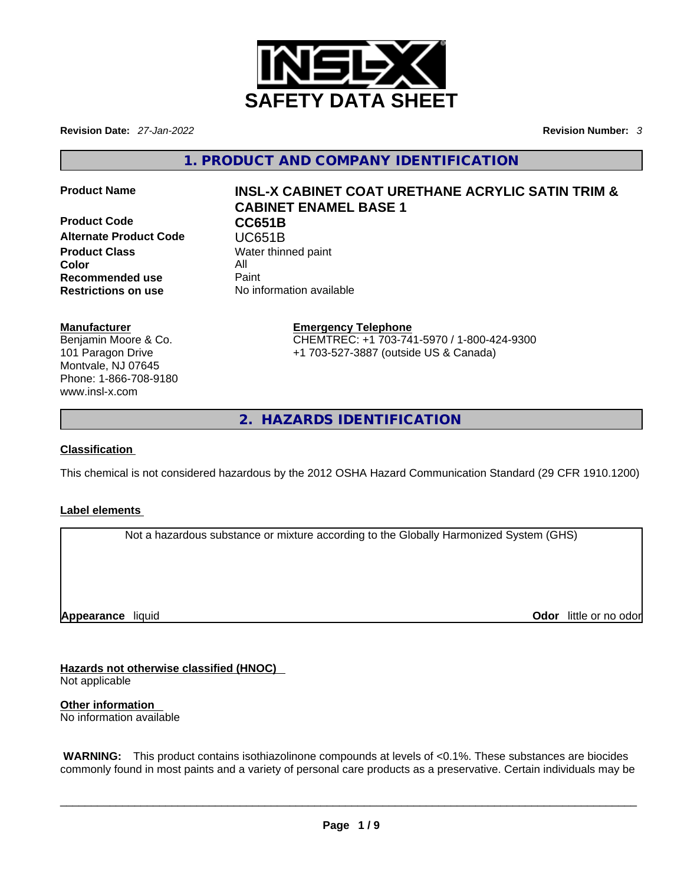

**Revision Date:** *27-Jan-2022* **Revision Number:** *3*

**1. PRODUCT AND COMPANY IDENTIFICATION** 

**Product Code CC651B Alternate Product Code CODE UC651B**<br> **Product Class** Water thing **Color** All **Recommended use** Paint<br> **Restrictions on use** No inf

# **Product Name INSL-X CABINET COAT URETHANE ACRYLIC SATIN TRIM & CABINET ENAMEL BASE 1**

**Water thinned paint Restrictions on use** No information available

### **Manufacturer**

Benjamin Moore & Co. 101 Paragon Drive Montvale, NJ 07645 Phone: 1-866-708-9180 www.insl-x.com

#### **Emergency Telephone** CHEMTREC: +1 703-741-5970 / 1-800-424-9300

+1 703-527-3887 (outside US & Canada)

**2. HAZARDS IDENTIFICATION** 

# **Classification**

This chemical is not considered hazardous by the 2012 OSHA Hazard Communication Standard (29 CFR 1910.1200)

### **Label elements**

Not a hazardous substance or mixture according to the Globally Harmonized System (GHS)

**Appearance** liquid

**Odor** little or no odor

**Hazards not otherwise classified (HNOC)**  Not applicable

**Other information**  No information available

 **WARNING:** This product contains isothiazolinone compounds at levels of <0.1%. These substances are biocides commonly found in most paints and a variety of personal care products as a preservative. Certain individuals may be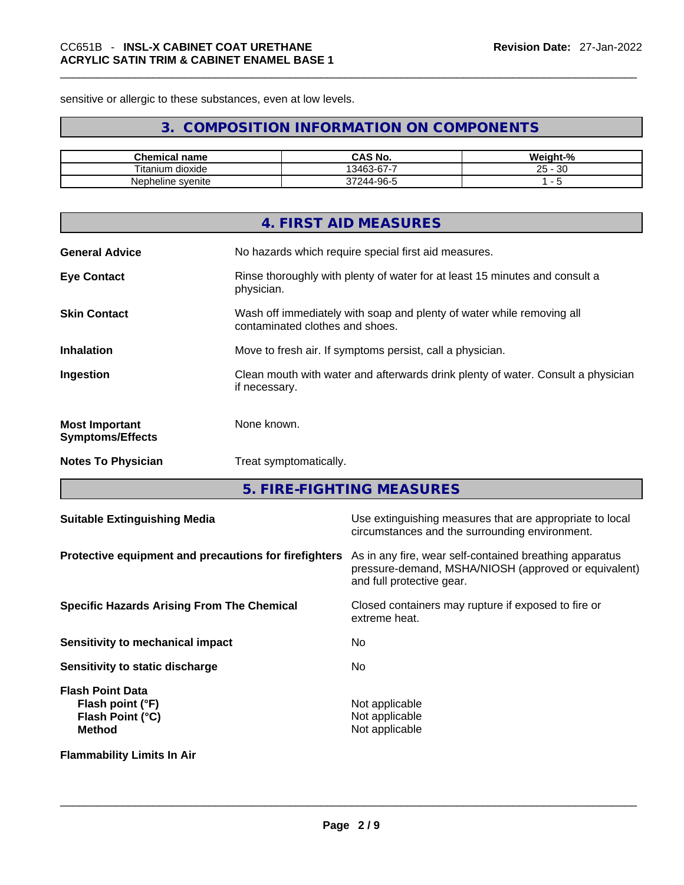sensitive or allergic to these substances, even at low levels.

# **3. COMPOSITION INFORMATION ON COMPONENTS**

| <b>Chemical name</b>   | CAS No.         | Weight-%         |
|------------------------|-----------------|------------------|
| <br>dioxide<br>itanium | 13463-67-7      | ാറ<br>25 -<br>υc |
| Nepheline svenite      | -96-5<br>37244- |                  |

|                                                  | 4. FIRST AID MEASURES                                                                                    |
|--------------------------------------------------|----------------------------------------------------------------------------------------------------------|
| <b>General Advice</b>                            | No hazards which require special first aid measures.                                                     |
| <b>Eye Contact</b>                               | Rinse thoroughly with plenty of water for at least 15 minutes and consult a<br>physician.                |
| <b>Skin Contact</b>                              | Wash off immediately with soap and plenty of water while removing all<br>contaminated clothes and shoes. |
| <b>Inhalation</b>                                | Move to fresh air. If symptoms persist, call a physician.                                                |
| Ingestion                                        | Clean mouth with water and afterwards drink plenty of water. Consult a physician<br>if necessary.        |
| <b>Most Important</b><br><b>Symptoms/Effects</b> | None known.                                                                                              |
| <b>Notes To Physician</b>                        | Treat symptomatically.                                                                                   |
|                                                  |                                                                                                          |

**5. FIRE-FIGHTING MEASURES** 

| <b>Suitable Extinguishing Media</b>                                              | Use extinguishing measures that are appropriate to local<br>circumstances and the surrounding environment.                                   |  |
|----------------------------------------------------------------------------------|----------------------------------------------------------------------------------------------------------------------------------------------|--|
| Protective equipment and precautions for firefighters                            | As in any fire, wear self-contained breathing apparatus<br>pressure-demand, MSHA/NIOSH (approved or equivalent)<br>and full protective gear. |  |
| <b>Specific Hazards Arising From The Chemical</b>                                | Closed containers may rupture if exposed to fire or<br>extreme heat.                                                                         |  |
| <b>Sensitivity to mechanical impact</b>                                          | No                                                                                                                                           |  |
| Sensitivity to static discharge                                                  | No                                                                                                                                           |  |
| <b>Flash Point Data</b><br>Flash point (°F)<br>Flash Point (°C)<br><b>Method</b> | Not applicable<br>Not applicable<br>Not applicable                                                                                           |  |
| <b>Flammability Limits In Air</b>                                                |                                                                                                                                              |  |
|                                                                                  |                                                                                                                                              |  |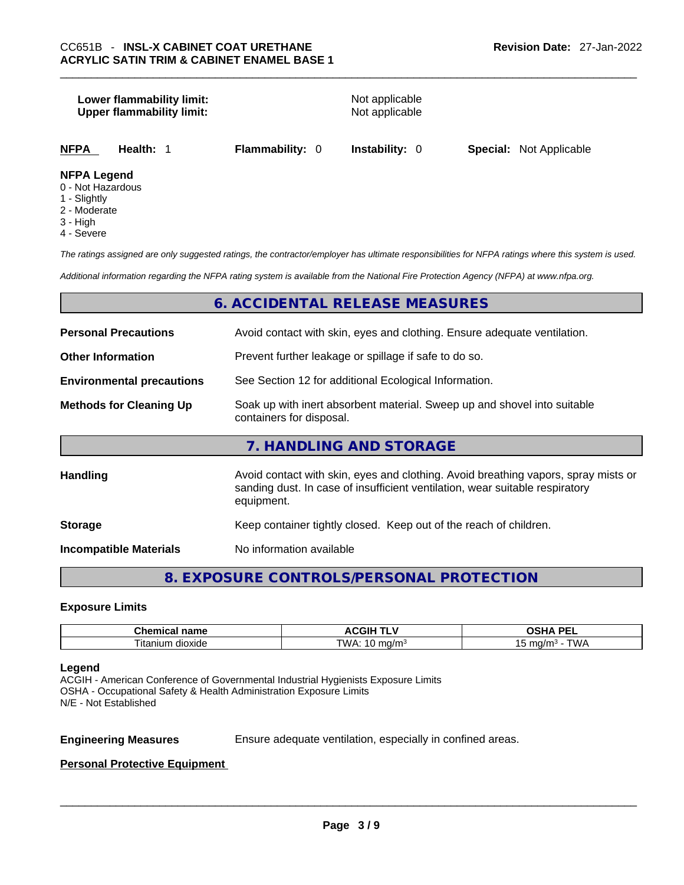# **Lower flammability limit:** Not applicable **Upper flammability limit:** Not applicable **NFPA Health:** 1 **Flammability:** 0 **Instability:** 0 **Special:** Not Applicable **NFPA Legend** 0 - Not Hazardous

- 1 Slightly
- 
- 2 Moderate
- 3 High
- 4 Severe

*The ratings assigned are only suggested ratings, the contractor/employer has ultimate responsibilities for NFPA ratings where this system is used.* 

*Additional information regarding the NFPA rating system is available from the National Fire Protection Agency (NFPA) at www.nfpa.org.* 

# **6. ACCIDENTAL RELEASE MEASURES**

| <b>Personal Precautions</b>      | Avoid contact with skin, eyes and clothing. Ensure adequate ventilation.                                                                                                         |  |  |
|----------------------------------|----------------------------------------------------------------------------------------------------------------------------------------------------------------------------------|--|--|
| <b>Other Information</b>         | Prevent further leakage or spillage if safe to do so.                                                                                                                            |  |  |
| <b>Environmental precautions</b> | See Section 12 for additional Ecological Information.                                                                                                                            |  |  |
| <b>Methods for Cleaning Up</b>   | Soak up with inert absorbent material. Sweep up and shovel into suitable<br>containers for disposal.                                                                             |  |  |
|                                  | 7. HANDLING AND STORAGE                                                                                                                                                          |  |  |
| <b>Handling</b>                  | Avoid contact with skin, eyes and clothing. Avoid breathing vapors, spray mists or<br>sanding dust. In case of insufficient ventilation, wear suitable respiratory<br>equipment. |  |  |
| <b>Storage</b>                   | Keep container tightly closed. Keep out of the reach of children.                                                                                                                |  |  |
| <b>Incompatible Materials</b>    | No information available                                                                                                                                                         |  |  |

# **8. EXPOSURE CONTROLS/PERSONAL PROTECTION**

#### **Exposure Limits**

| $\sim$ $\sim$ $\sim$ $\sim$ $\sim$<br>⊾ne<br>ш<br>панк | .GIP                | <b>DE</b><br>$\mathbf{r}$<br>--<br>-- |
|--------------------------------------------------------|---------------------|---------------------------------------|
| --<br>dioxide<br>⊺ıtanıum                              | TWA<br>.na/m<br>. . | $m \sim \mu$<br>n r<br>. . 0/ F<br>.  |

#### **Legend**

ACGIH - American Conference of Governmental Industrial Hygienists Exposure Limits OSHA - Occupational Safety & Health Administration Exposure Limits N/E - Not Established

**Engineering Measures** Ensure adequate ventilation, especially in confined areas.

#### **Personal Protective Equipment**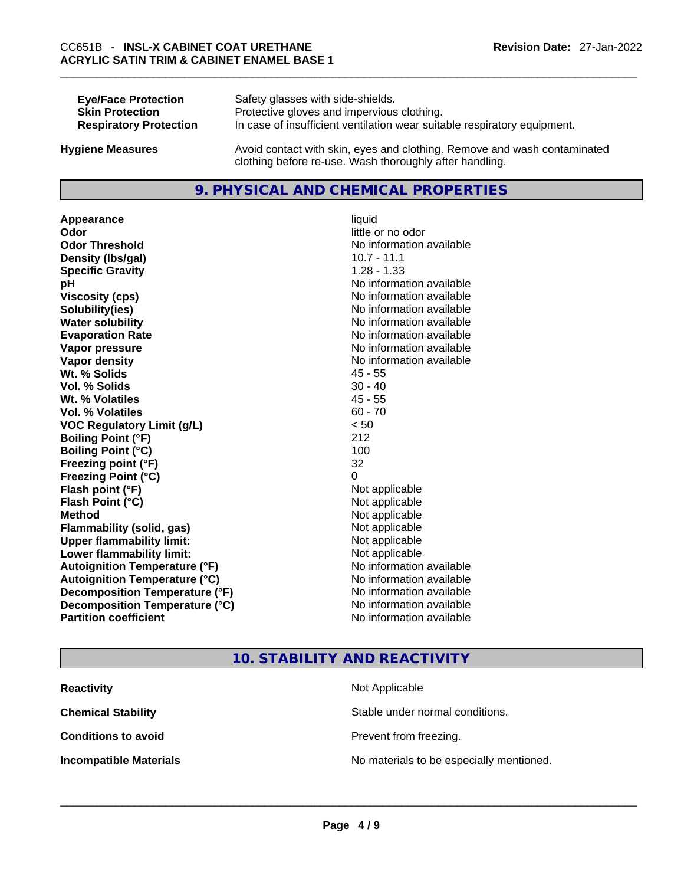| <b>Eye/Face Protection</b>    | Safety glasses with side-shields.                                        |
|-------------------------------|--------------------------------------------------------------------------|
| <b>Skin Protection</b>        | Protective gloves and impervious clothing.                               |
| <b>Respiratory Protection</b> | In case of insufficient ventilation wear suitable respiratory equipment. |
|                               |                                                                          |

**Hygiene Measures** Avoid contact with skin, eyes and clothing. Remove and wash contaminated clothing before re-use. Wash thoroughly after handling.

# **9. PHYSICAL AND CHEMICAL PROPERTIES**

Appearance liquid **Odor Odor Odor Odor Odor Odor** *little or no odor little or no odor little or no odor* **Odor Threshold** No information available **Density (lbs/gal)** 10.7 - 11.1 **Specific Gravity** 1.28 - 1.33 **pH pH** *pH* **Viscosity (cps) Viscosity (cps) No information available Solubility(ies)** No information available **Water solubility No information available No information available Evaporation Rate Note 2008 No information available Note 2008 No information available Vapor pressure**  No information available **No information** available **Vapor density No information available No information available Wt. % Solids** 45 - 55 **Vol. % Solids** 30 - 40 **Wt. % Volatiles** 45 - 55 **Vol. % Volatiles** 60 - 70 **VOC Regulatory Limit (g/L)** < 50 **Boiling Point (°F)** 212 **Boiling Point (°C)** 100 **Freezing point (°F)** 32 **Freezing Point (°C)** 0 **Flash point (°F)** Not applicable **Flash Point (°C)** Not applicable **Method** Not applicable **Flammability (solid, gas)**<br> **Upper flammability limit:**<br>
Upper flammability limit:<br>  $\begin{array}{ccc}\n\bullet & \bullet & \bullet \\
\bullet & \bullet & \bullet\n\end{array}$  Not applicable **Upper flammability limit:**<br> **Lower flammability limit:** Not applicable Not applicable **Lower flammability limit: Autoignition Temperature (°F)** No information available **Autoignition Temperature (°C)** No information available **Decomposition Temperature (°F)** No information available **Decomposition Temperature (°C)** No information available **Partition coefficient** No information available

# **10. STABILITY AND REACTIVITY**

**Reactivity Not Applicable Not Applicable Chemical Stability Stable under normal conditions. Conditions to avoid Conditions to avoid Prevent from freezing. Incompatible Materials** No materials to be especially mentioned. \_\_\_\_\_\_\_\_\_\_\_\_\_\_\_\_\_\_\_\_\_\_\_\_\_\_\_\_\_\_\_\_\_\_\_\_\_\_\_\_\_\_\_\_\_\_\_\_\_\_\_\_\_\_\_\_\_\_\_\_\_\_\_\_\_\_\_\_\_\_\_\_\_\_\_\_\_\_\_\_\_\_\_\_\_\_\_\_\_\_\_\_\_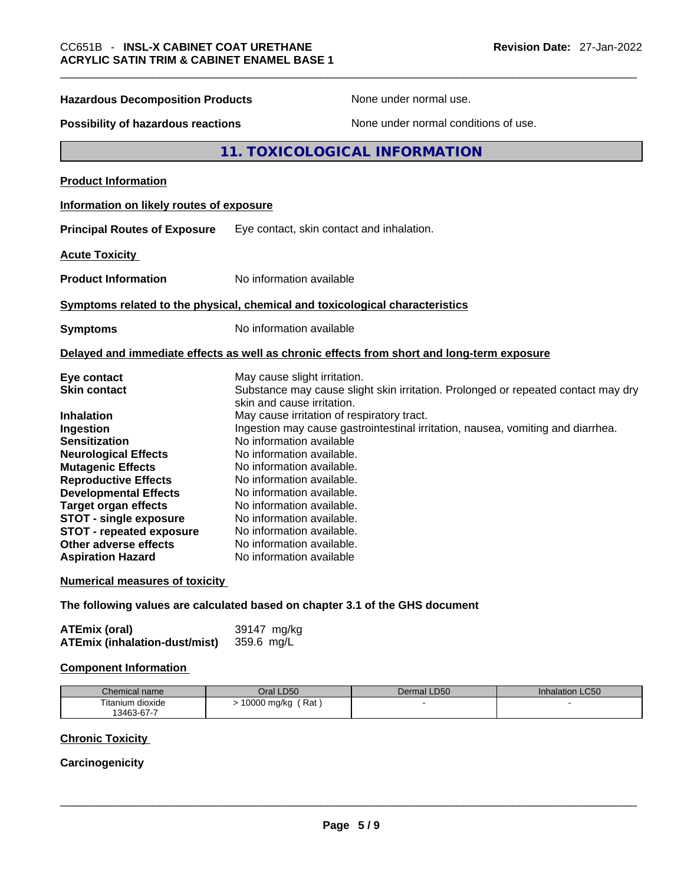| <b>Hazardous Decomposition Products</b>                                                                                                                                                                                                                                                                                                  | None under normal use.                                                                                                                                                                                                                                                                                                                                                                                                        |  |  |
|------------------------------------------------------------------------------------------------------------------------------------------------------------------------------------------------------------------------------------------------------------------------------------------------------------------------------------------|-------------------------------------------------------------------------------------------------------------------------------------------------------------------------------------------------------------------------------------------------------------------------------------------------------------------------------------------------------------------------------------------------------------------------------|--|--|
| Possibility of hazardous reactions                                                                                                                                                                                                                                                                                                       | None under normal conditions of use.                                                                                                                                                                                                                                                                                                                                                                                          |  |  |
| 11. TOXICOLOGICAL INFORMATION                                                                                                                                                                                                                                                                                                            |                                                                                                                                                                                                                                                                                                                                                                                                                               |  |  |
| <b>Product Information</b>                                                                                                                                                                                                                                                                                                               |                                                                                                                                                                                                                                                                                                                                                                                                                               |  |  |
| Information on likely routes of exposure                                                                                                                                                                                                                                                                                                 |                                                                                                                                                                                                                                                                                                                                                                                                                               |  |  |
| <b>Principal Routes of Exposure</b>                                                                                                                                                                                                                                                                                                      | Eye contact, skin contact and inhalation.                                                                                                                                                                                                                                                                                                                                                                                     |  |  |
| <b>Acute Toxicity</b>                                                                                                                                                                                                                                                                                                                    |                                                                                                                                                                                                                                                                                                                                                                                                                               |  |  |
| <b>Product Information</b>                                                                                                                                                                                                                                                                                                               | No information available                                                                                                                                                                                                                                                                                                                                                                                                      |  |  |
|                                                                                                                                                                                                                                                                                                                                          | Symptoms related to the physical, chemical and toxicological characteristics                                                                                                                                                                                                                                                                                                                                                  |  |  |
| <b>Symptoms</b>                                                                                                                                                                                                                                                                                                                          | No information available                                                                                                                                                                                                                                                                                                                                                                                                      |  |  |
|                                                                                                                                                                                                                                                                                                                                          | Delayed and immediate effects as well as chronic effects from short and long-term exposure                                                                                                                                                                                                                                                                                                                                    |  |  |
| Eye contact<br><b>Skin contact</b>                                                                                                                                                                                                                                                                                                       | May cause slight irritation.<br>Substance may cause slight skin irritation. Prolonged or repeated contact may dry<br>skin and cause irritation.                                                                                                                                                                                                                                                                               |  |  |
| <b>Inhalation</b><br>Ingestion<br><b>Sensitization</b><br><b>Neurological Effects</b><br><b>Mutagenic Effects</b><br><b>Reproductive Effects</b><br><b>Developmental Effects</b><br><b>Target organ effects</b><br><b>STOT - single exposure</b><br><b>STOT - repeated exposure</b><br>Other adverse effects<br><b>Aspiration Hazard</b> | May cause irritation of respiratory tract.<br>Ingestion may cause gastrointestinal irritation, nausea, vomiting and diarrhea.<br>No information available<br>No information available.<br>No information available.<br>No information available.<br>No information available.<br>No information available.<br>No information available.<br>No information available.<br>No information available.<br>No information available |  |  |
| <b>Numerical measures of toxicity</b>                                                                                                                                                                                                                                                                                                    |                                                                                                                                                                                                                                                                                                                                                                                                                               |  |  |
|                                                                                                                                                                                                                                                                                                                                          | The following values are calculated based on chapter 3.1 of the GHS document                                                                                                                                                                                                                                                                                                                                                  |  |  |
| <b>ATEmix (oral)</b><br><b>ATEmix (inhalation-dust/mist)</b>                                                                                                                                                                                                                                                                             | 39147 mg/kg<br>359.6 mg/L                                                                                                                                                                                                                                                                                                                                                                                                     |  |  |

#### **Component Information**

| Chemical name    | Oral LD50          | Dermal LD50 | <b>Inhalation LC50</b> |
|------------------|--------------------|-------------|------------------------|
| Titanium dioxide | Rat<br>10000 mg/kg |             |                        |
| 13463-67-7       |                    |             |                        |

# **Chronic Toxicity**

# **Carcinogenicity**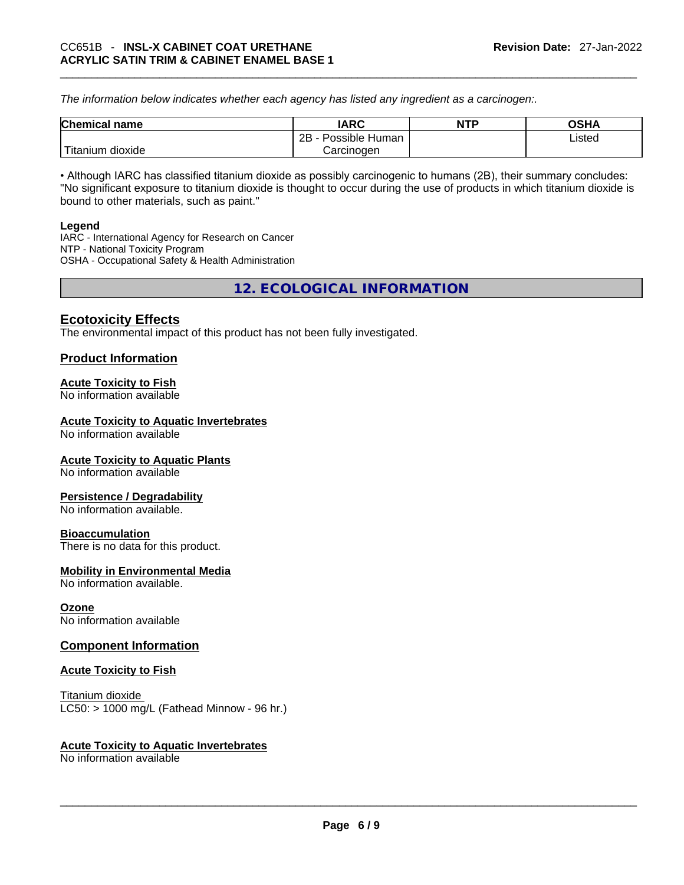*The information below indicates whether each agency has listed any ingredient as a carcinogen:.* 

| <b>Chemical name</b>                | <b>IARC</b>          | <b>NTP</b> | OSHA   |
|-------------------------------------|----------------------|------------|--------|
|                                     | 2B<br>Possible Human |            | ∟isted |
| <u>— на</u><br>dioxide<br>ı itanıum | Carcinoɑen           |            |        |

• Although IARC has classified titanium dioxide as possibly carcinogenic to humans (2B), their summary concludes: "No significant exposure to titanium dioxide is thought to occur during the use of products in which titanium dioxide is bound to other materials, such as paint."

#### **Legend**

IARC - International Agency for Research on Cancer NTP - National Toxicity Program OSHA - Occupational Safety & Health Administration

**12. ECOLOGICAL INFORMATION** 

# **Ecotoxicity Effects**

The environmental impact of this product has not been fully investigated.

#### **Product Information**

#### **Acute Toxicity to Fish**

No information available

#### **Acute Toxicity to Aquatic Invertebrates**

No information available

#### **Acute Toxicity to Aquatic Plants**

No information available

#### **Persistence / Degradability**

No information available.

#### **Bioaccumulation**

There is no data for this product.

### **Mobility in Environmental Media**

No information available.

#### **Ozone**

No information available

#### **Component Information**

#### **Acute Toxicity to Fish**

Titanium dioxide  $LC50:$  > 1000 mg/L (Fathead Minnow - 96 hr.)

#### **Acute Toxicity to Aquatic Invertebrates**

No information available \_\_\_\_\_\_\_\_\_\_\_\_\_\_\_\_\_\_\_\_\_\_\_\_\_\_\_\_\_\_\_\_\_\_\_\_\_\_\_\_\_\_\_\_\_\_\_\_\_\_\_\_\_\_\_\_\_\_\_\_\_\_\_\_\_\_\_\_\_\_\_\_\_\_\_\_\_\_\_\_\_\_\_\_\_\_\_\_\_\_\_\_\_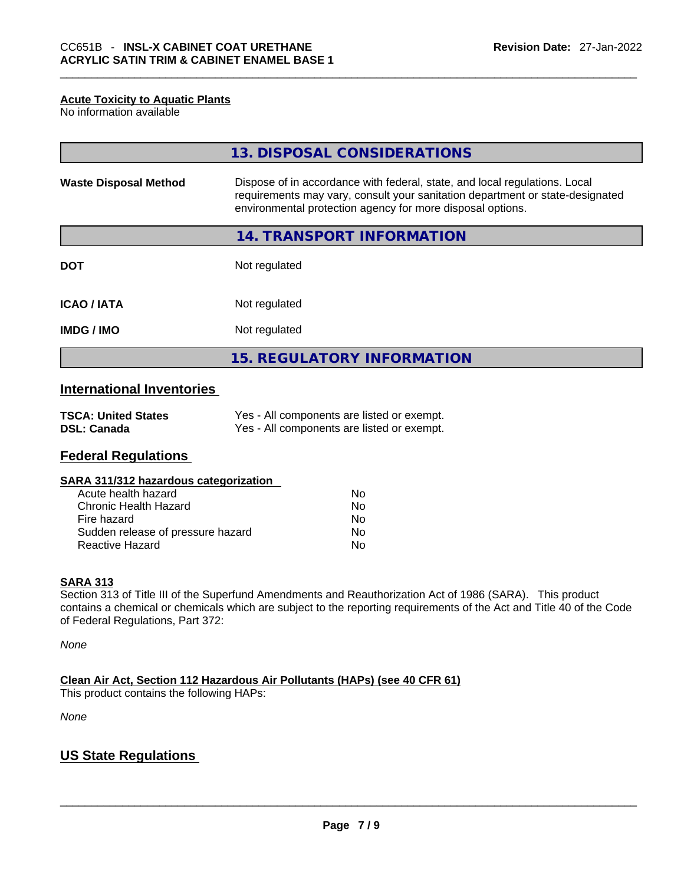#### **Acute Toxicity to Aquatic Plants**

No information available

|                              | 13. DISPOSAL CONSIDERATIONS                                                                                                                                                                                               |
|------------------------------|---------------------------------------------------------------------------------------------------------------------------------------------------------------------------------------------------------------------------|
| <b>Waste Disposal Method</b> | Dispose of in accordance with federal, state, and local regulations. Local<br>requirements may vary, consult your sanitation department or state-designated<br>environmental protection agency for more disposal options. |
|                              | <b>14. TRANSPORT INFORMATION</b>                                                                                                                                                                                          |
| <b>DOT</b>                   | Not regulated                                                                                                                                                                                                             |
| <b>ICAO/IATA</b>             | Not regulated                                                                                                                                                                                                             |
| <b>IMDG/IMO</b>              | Not regulated                                                                                                                                                                                                             |
|                              | <b>15. REGULATORY INFORMATION</b>                                                                                                                                                                                         |

# **International Inventories**

| <b>TSCA: United States</b> | Yes - All components are listed or exempt. |
|----------------------------|--------------------------------------------|
| <b>DSL: Canada</b>         | Yes - All components are listed or exempt. |

### **Federal Regulations**

| SARA 311/312 hazardous categorization |  |
|---------------------------------------|--|
|---------------------------------------|--|

| Acute health hazard               | Nο |
|-----------------------------------|----|
| Chronic Health Hazard             | Nο |
| Fire hazard                       | No |
| Sudden release of pressure hazard | No |
| <b>Reactive Hazard</b>            | N٥ |

### **SARA 313**

Section 313 of Title III of the Superfund Amendments and Reauthorization Act of 1986 (SARA). This product contains a chemical or chemicals which are subject to the reporting requirements of the Act and Title 40 of the Code of Federal Regulations, Part 372:

*None*

**Clean Air Act,Section 112 Hazardous Air Pollutants (HAPs) (see 40 CFR 61)** This product contains the following HAPs:

*None*

# **US State Regulations**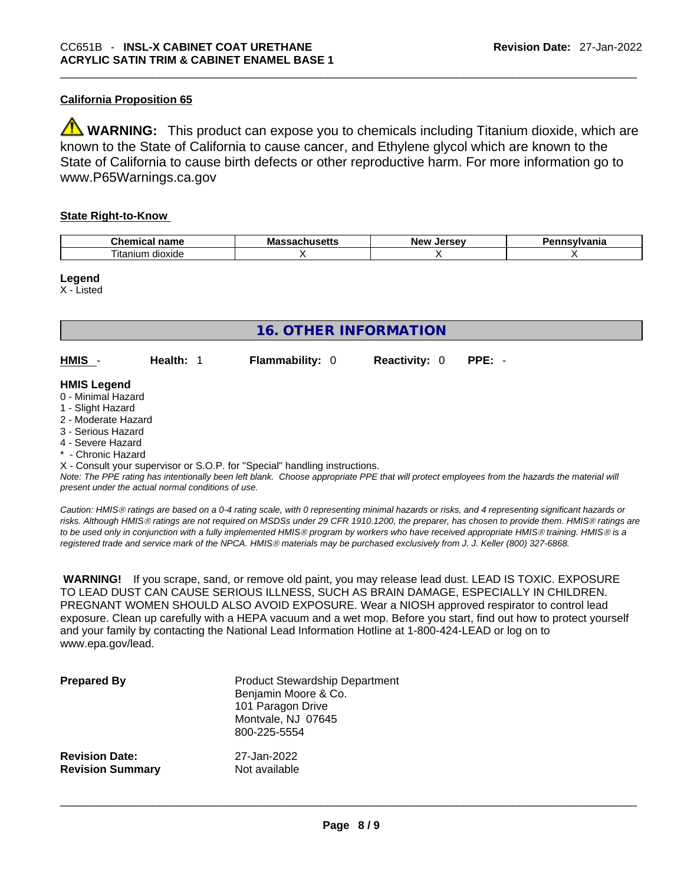## **California Proposition 65**

**WARNING:** This product can expose you to chemicals including Titanium dioxide, which are known to the State of California to cause cancer, and Ethylene glycol which are known to the State of California to cause birth defects or other reproductive harm. For more information go to www.P65Warnings.ca.gov

#### **State Right-to-Know**

| $\sim$<br>- -- -<br>--<br>…ne·<br>панк<br>$\mathbf{H}$ | ма<br>- | NΑI | .<br>нс |
|--------------------------------------------------------|---------|-----|---------|
| --<br>dioxide<br>itanium                               |         |     |         |

#### **Legend**

X - Listed

| <b>16. OTHER INFORMATION</b>                                                                                                                          |                                                    |                                                                            |                      |                                                                                                                                               |  |  |
|-------------------------------------------------------------------------------------------------------------------------------------------------------|----------------------------------------------------|----------------------------------------------------------------------------|----------------------|-----------------------------------------------------------------------------------------------------------------------------------------------|--|--|
| HMIS -                                                                                                                                                | Health: 1                                          | <b>Flammability: 0</b>                                                     | <b>Reactivity: 0</b> | $PPE: -$                                                                                                                                      |  |  |
| <b>HMIS Legend</b><br>0 - Minimal Hazard<br>1 - Slight Hazard<br>2 - Moderate Hazard<br>3 - Serious Hazard<br>4 - Severe Hazard<br>* - Chronic Hazard |                                                    |                                                                            |                      |                                                                                                                                               |  |  |
|                                                                                                                                                       | present under the actual normal conditions of use. | X - Consult your supervisor or S.O.P. for "Special" handling instructions. |                      | Note: The PPE rating has intentionally been left blank. Choose appropriate PPE that will protect employees from the hazards the material will |  |  |

*Caution: HMISÒ ratings are based on a 0-4 rating scale, with 0 representing minimal hazards or risks, and 4 representing significant hazards or risks. Although HMISÒ ratings are not required on MSDSs under 29 CFR 1910.1200, the preparer, has chosen to provide them. HMISÒ ratings are to be used only in conjunction with a fully implemented HMISÒ program by workers who have received appropriate HMISÒ training. HMISÒ is a registered trade and service mark of the NPCA. HMISÒ materials may be purchased exclusively from J. J. Keller (800) 327-6868.* 

 **WARNING!** If you scrape, sand, or remove old paint, you may release lead dust. LEAD IS TOXIC. EXPOSURE TO LEAD DUST CAN CAUSE SERIOUS ILLNESS, SUCH AS BRAIN DAMAGE, ESPECIALLY IN CHILDREN. PREGNANT WOMEN SHOULD ALSO AVOID EXPOSURE.Wear a NIOSH approved respirator to control lead exposure. Clean up carefully with a HEPA vacuum and a wet mop. Before you start, find out how to protect yourself and your family by contacting the National Lead Information Hotline at 1-800-424-LEAD or log on to www.epa.gov/lead.

| <b>Prepared By</b>      | <b>Product Stewardship Department</b><br>Benjamin Moore & Co.<br>101 Paragon Drive<br>Montvale, NJ 07645<br>800-225-5554 |
|-------------------------|--------------------------------------------------------------------------------------------------------------------------|
| <b>Revision Date:</b>   | 27-Jan-2022                                                                                                              |
| <b>Revision Summary</b> | Not available                                                                                                            |